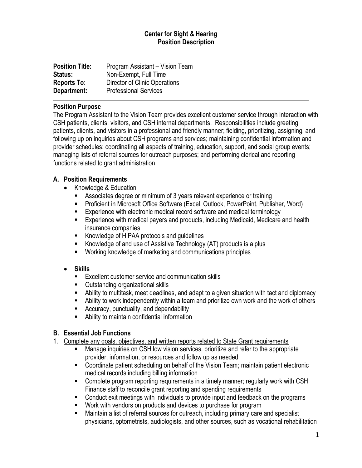### **Center for Sight & Hearing Position Description**

| <b>Position Title:</b> | Program Assistant - Vision Team |
|------------------------|---------------------------------|
| <b>Status:</b>         | Non-Exempt, Full Time           |
| <b>Reports To:</b>     | Director of Clinic Operations   |
| Department:            | <b>Professional Services</b>    |

#### **Position Purpose**

The Program Assistant to the Vision Team provides excellent customer service through interaction with CSH patients, clients, visitors, and CSH internal departments. Responsibilities include greeting patients, clients, and visitors in a professional and friendly manner; fielding, prioritizing, assigning, and following up on inquiries about CSH programs and services; maintaining confidential information and provider schedules; coordinating all aspects of training, education, support, and social group events; managing lists of referral sources for outreach purposes; and performing clerical and reporting functions related to grant administration.

### **A. Position Requirements**

- Knowledge & Education
	- Associates degree or minimum of 3 years relevant experience or training
	- Proficient in Microsoft Office Software (Excel, Outlook, PowerPoint, Publisher, Word)
	- Experience with electronic medical record software and medical terminology
	- Experience with medical payers and products, including Medicaid, Medicare and health insurance companies
	- Knowledge of HIPAA protocols and guidelines
	- Knowledge of and use of Assistive Technology (AT) products is a plus
	- Working knowledge of marketing and communications principles
- **Skills**
	- Excellent customer service and communication skills
	- Outstanding organizational skills
	- Ability to multitask, meet deadlines, and adapt to a given situation with tact and diplomacy
	- **E** Ability to work independently within a team and prioritize own work and the work of others
	- Accuracy, punctuality, and dependability
	- Ability to maintain confidential information

# **B. Essential Job Functions**

- 1. Complete any goals, objectives, and written reports related to State Grant requirements
	- Manage inquiries on CSH low vision services, prioritize and refer to the appropriate provider, information, or resources and follow up as needed
	- Coordinate patient scheduling on behalf of the Vision Team; maintain patient electronic medical records including billing information
	- Complete program reporting requirements in a timely manner; regularly work with CSH Finance staff to reconcile grant reporting and spending requirements
	- Conduct exit meetings with individuals to provide input and feedback on the programs
	- Work with vendors on products and devices to purchase for program
	- Maintain a list of referral sources for outreach, including primary care and specialist physicians, optometrists, audiologists, and other sources, such as vocational rehabilitation